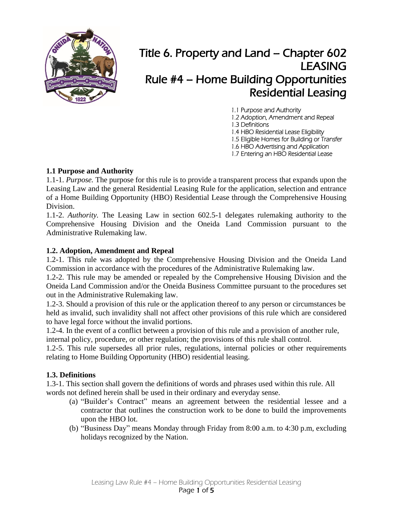

# Title 6. Property and Land – Chapter 602 LEASING Rule #4 – Home Building Opportunities Residential Leasing

1.1 Purpose and Authority 1.2 Adoption, Amendment and Repeal 1.3 Definitions 1.4 HBO Residential Lease Eligibility 1.5 Eligible Homes for Building or Transfer 1.6 HBO Advertising and Application 1.7 Entering an HBO Residential Lease

# **1.1 Purpose and Authority**

1.1-1. *Purpose.* The purpose for this rule is to provide a transparent process that expands upon the Leasing Law and the general Residential Leasing Rule for the application, selection and entrance of a Home Building Opportunity (HBO) Residential Lease through the Comprehensive Housing Division.

1.1-2. *Authority.* The Leasing Law in section 602.5-1 delegates rulemaking authority to the Comprehensive Housing Division and the Oneida Land Commission pursuant to the Administrative Rulemaking law.

#### **1.2. Adoption, Amendment and Repeal**

1.2-1. This rule was adopted by the Comprehensive Housing Division and the Oneida Land Commission in accordance with the procedures of the Administrative Rulemaking law.

1.2-2. This rule may be amended or repealed by the Comprehensive Housing Division and the Oneida Land Commission and/or the Oneida Business Committee pursuant to the procedures set out in the Administrative Rulemaking law.

1.2-3. Should a provision of this rule or the application thereof to any person or circumstances be held as invalid, such invalidity shall not affect other provisions of this rule which are considered to have legal force without the invalid portions.

1.2-4. In the event of a conflict between a provision of this rule and a provision of another rule, internal policy, procedure, or other regulation; the provisions of this rule shall control.

1.2-5. This rule supersedes all prior rules, regulations, internal policies or other requirements relating to Home Building Opportunity (HBO) residential leasing.

# **1.3. Definitions**

1.3-1. This section shall govern the definitions of words and phrases used within this rule. All words not defined herein shall be used in their ordinary and everyday sense.

- (a) "Builder's Contract" means an agreement between the residential lessee and a contractor that outlines the construction work to be done to build the improvements upon the HBO lot.
- (b) "Business Day" means Monday through Friday from 8:00 a.m. to 4:30 p.m, excluding holidays recognized by the Nation.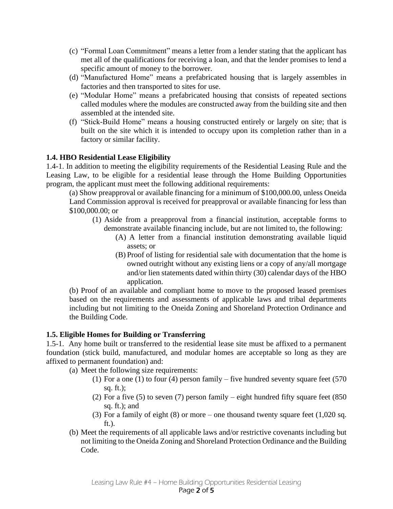- (c) "Formal Loan Commitment" means a letter from a lender stating that the applicant has met all of the qualifications for receiving a loan, and that the lender promises to lend a specific amount of money to the borrower.
- (d) "Manufactured Home" means a prefabricated housing that is largely assembles in factories and then transported to sites for use.
- (e) "Modular Home" means a prefabricated housing that consists of repeated sections called modules where the modules are constructed away from the building site and then assembled at the intended site.
- (f) "Stick-Build Home" means a housing constructed entirely or largely on site; that is built on the site which it is intended to occupy upon its completion rather than in a factory or similar facility.

## **1.4. HBO Residential Lease Eligibility**

1.4-1. In addition to meeting the eligibility requirements of the Residential Leasing Rule and the Leasing Law, to be eligible for a residential lease through the Home Building Opportunities program, the applicant must meet the following additional requirements:

(a) Show preapproval or available financing for a minimum of \$100,000.00, unless Oneida Land Commission approval is received for preapproval or available financing for less than \$100,000.00; or

- (1) Aside from a preapproval from a financial institution, acceptable forms to demonstrate available financing include, but are not limited to, the following:
	- (A) A letter from a financial institution demonstrating available liquid assets; or
	- (B) Proof of listing for residential sale with documentation that the home is owned outright without any existing liens or a copy of any/all mortgage and/or lien statements dated within thirty (30) calendar days of the HBO application.

(b) Proof of an available and compliant home to move to the proposed leased premises based on the requirements and assessments of applicable laws and tribal departments including but not limiting to the Oneida Zoning and Shoreland Protection Ordinance and the Building Code.

#### **1.5. Eligible Homes for Building or Transferring**

1.5-1. Any home built or transferred to the residential lease site must be affixed to a permanent foundation (stick build, manufactured, and modular homes are acceptable so long as they are affixed to permanent foundation) and:

(a) Meet the following size requirements:

- (1) For a one (1) to four (4) person family five hundred seventy square feet  $(570)$ sq. ft.);
- (2) For a five (5) to seven (7) person family eight hundred fifty square feet (850 sq. ft.); and
- (3) For a family of eight (8) or more one thousand twenty square feet (1,020 sq. ft.).
- (b) Meet the requirements of all applicable laws and/or restrictive covenants including but not limiting to the Oneida Zoning and Shoreland Protection Ordinance and the Building Code.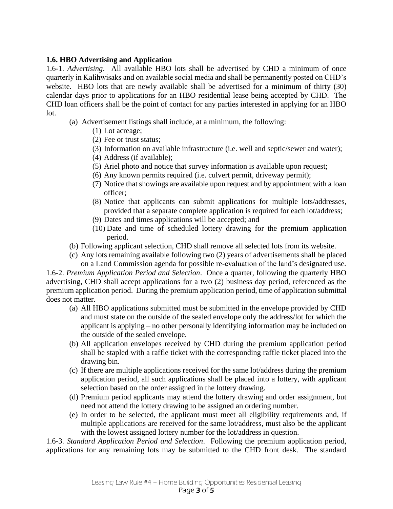## **1.6. HBO Advertising and Application**

1.6-1. *Advertising*. All available HBO lots shall be advertised by CHD a minimum of once quarterly in Kalihwisaks and on available social media and shall be permanently posted on CHD's website. HBO lots that are newly available shall be advertised for a minimum of thirty (30) calendar days prior to applications for an HBO residential lease being accepted by CHD. The CHD loan officers shall be the point of contact for any parties interested in applying for an HBO lot.

- (a) Advertisement listings shall include, at a minimum, the following:
	- (1) Lot acreage;
	- (2) Fee or trust status;
	- (3) Information on available infrastructure (i.e. well and septic/sewer and water);
	- (4) Address (if available);
	- (5) Ariel photo and notice that survey information is available upon request;
	- (6) Any known permits required (i.e. culvert permit, driveway permit);
	- (7) Notice that showings are available upon request and by appointment with a loan officer;
	- (8) Notice that applicants can submit applications for multiple lots/addresses, provided that a separate complete application is required for each lot/address;
	- (9) Dates and times applications will be accepted; and
	- (10) Date and time of scheduled lottery drawing for the premium application period.
- (b) Following applicant selection, CHD shall remove all selected lots from its website.
- (c) Any lots remaining available following two (2) years of advertisements shall be placed on a Land Commission agenda for possible re-evaluation of the land's designated use.

1.6-2. *Premium Application Period and Selection*. Once a quarter, following the quarterly HBO advertising, CHD shall accept applications for a two (2) business day period, referenced as the premium application period. During the premium application period, time of application submittal does not matter.

- (a) All HBO applications submitted must be submitted in the envelope provided by CHD and must state on the outside of the sealed envelope only the address/lot for which the applicant is applying – no other personally identifying information may be included on the outside of the sealed envelope.
- (b) All application envelopes received by CHD during the premium application period shall be stapled with a raffle ticket with the corresponding raffle ticket placed into the drawing bin.
- (c) If there are multiple applications received for the same lot/address during the premium application period, all such applications shall be placed into a lottery, with applicant selection based on the order assigned in the lottery drawing.
- (d) Premium period applicants may attend the lottery drawing and order assignment, but need not attend the lottery drawing to be assigned an ordering number.
- (e) In order to be selected, the applicant must meet all eligibility requirements and, if multiple applications are received for the same lot/address, must also be the applicant with the lowest assigned lottery number for the lot/address in question.

1.6-3. *Standard Application Period and Selection*. Following the premium application period, applications for any remaining lots may be submitted to the CHD front desk. The standard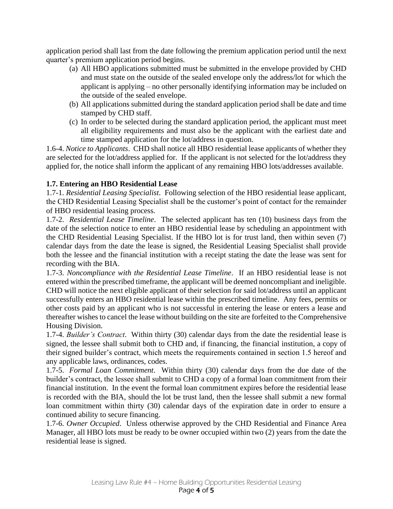application period shall last from the date following the premium application period until the next quarter's premium application period begins.

- (a) All HBO applications submitted must be submitted in the envelope provided by CHD and must state on the outside of the sealed envelope only the address/lot for which the applicant is applying – no other personally identifying information may be included on the outside of the sealed envelope.
- (b) All applications submitted during the standard application period shall be date and time stamped by CHD staff.
- (c) In order to be selected during the standard application period, the applicant must meet all eligibility requirements and must also be the applicant with the earliest date and time stamped application for the lot/address in question.

1.6-4. *Notice to Applicants*. CHD shall notice all HBO residential lease applicants of whether they are selected for the lot/address applied for. If the applicant is not selected for the lot/address they applied for, the notice shall inform the applicant of any remaining HBO lots/addresses available.

#### **1.7. Entering an HBO Residential Lease**

1.7-1. *Residential Leasing Specialist*. Following selection of the HBO residential lease applicant, the CHD Residential Leasing Specialist shall be the customer's point of contact for the remainder of HBO residential leasing process.

1.7-2. *Residential Lease Timeline*. The selected applicant has ten (10) business days from the date of the selection notice to enter an HBO residential lease by scheduling an appointment with the CHD Residential Leasing Specialist. If the HBO lot is for trust land, then within seven (7) calendar days from the date the lease is signed, the Residential Leasing Specialist shall provide both the lessee and the financial institution with a receipt stating the date the lease was sent for recording with the BIA.

1.7-3. *Noncompliance with the Residential Lease Timeline*. If an HBO residential lease is not entered within the prescribed timeframe, the applicant will be deemed noncompliant and ineligible. CHD will notice the next eligible applicant of their selection for said lot/address until an applicant successfully enters an HBO residential lease within the prescribed timeline. Any fees, permits or other costs paid by an applicant who is not successful in entering the lease or enters a lease and thereafter wishes to cancel the lease without building on the site are forfeited to the Comprehensive Housing Division.

1.7-4. *Builder's Contract*. Within thirty (30) calendar days from the date the residential lease is signed, the lessee shall submit both to CHD and, if financing, the financial institution, a copy of their signed builder's contract, which meets the requirements contained in section 1.5 hereof and any applicable laws, ordinances, codes.

1.7-5. *Formal Loan Commitment*. Within thirty (30) calendar days from the due date of the builder's contract, the lessee shall submit to CHD a copy of a formal loan commitment from their financial institution. In the event the formal loan commitment expires before the residential lease is recorded with the BIA, should the lot be trust land, then the lessee shall submit a new formal loan commitment within thirty (30) calendar days of the expiration date in order to ensure a continued ability to secure financing.

1.7-6. *Owner Occupied*. Unless otherwise approved by the CHD Residential and Finance Area Manager, all HBO lots must be ready to be owner occupied within two (2) years from the date the residential lease is signed.